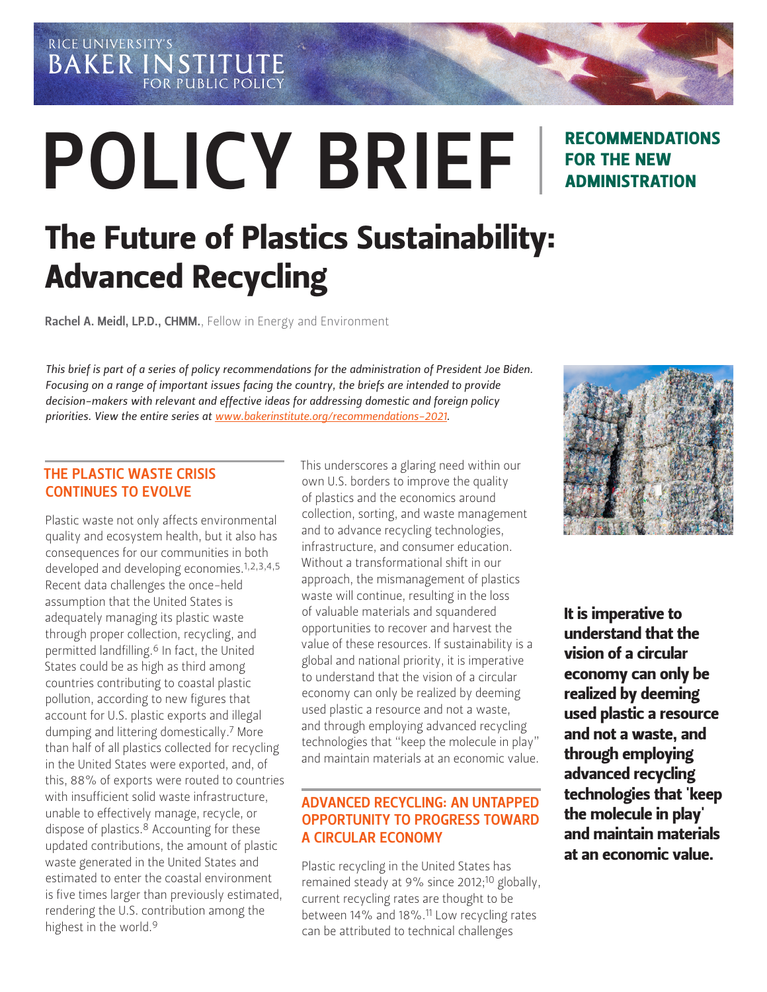RICE UNIVERSITY'S **BAKER INSTITUTE FOR PUBLIC POLICY** 

# POLICY BRIEF

### RECOMMENDATIONS FOR THE NEW ADMINISTRATION

## The Future of Plastics Sustainability: Advanced Recycling

Rachel A. Meidl, LP.D., CHMM.[, Fellow in Energy and Environment](https://www.bakerinstitute.org/experts/rachel-a-meidl/)

*This brief is part of a series of policy recommendations for the administration of President Joe Biden. Focusing on a range of important issues facing the country, the briefs are intended to provide decision-makers with relevant and effective ideas for addressing domestic and foreign policy priorities. View the entire series at www.bakerinstitute.org/recommendations-2021.*

#### THE PLASTIC WASTE CRISIS CONTINUES TO EVOLVE

Plastic waste not only affects environmental quality and ecosystem health, but it also has consequences for our communities in both developed and developing economies.<sup>1,2,3,4,5</sup> Recent data challenges the once-held assumption that the United States is adequately managing its plastic waste through proper collection, recycling, and permitted landfilling.6 In fact, the United States could be as high as third among countries contributing to coastal plastic pollution, according to new figures that account for U.S. plastic exports and illegal dumping and littering domestically.7 More than half of all plastics collected for recycling in the United States were exported, and, of this, 88% of exports were routed to countries with insufficient solid waste infrastructure, unable to effectively manage, recycle, or dispose of plastics.<sup>8</sup> Accounting for these updated contributions, the amount of plastic waste generated in the United States and estimated to enter the coastal environment is five times larger than previously estimated, rendering the U.S. contribution among the highest in the world.9

This underscores a glaring need within our own U.S. borders to improve the quality of plastics and the economics around collection, sorting, and waste management and to advance recycling technologies, infrastructure, and consumer education. Without a transformational shift in our approach, the mismanagement of plastics waste will continue, resulting in the loss of valuable materials and squandered opportunities to recover and harvest the value of these resources. If sustainability is a global and national priority, it is imperative to understand that the vision of a circular economy can only be realized by deeming used plastic a resource and not a waste, and through employing advanced recycling technologies that "keep the molecule in play" and maintain materials at an economic value.

#### ADVANCED RECYCLING: AN UNTAPPED OPPORTUNITY TO PROGRESS TOWARD A CIRCULAR ECONOMY

Plastic recycling in the United States has remained steady at 9% since 2012;<sup>10</sup> globally, current recycling rates are thought to be between 14% and 18%.11 Low recycling rates can be attributed to technical challenges



It is imperative to understand that the vision of a circular economy can only be realized by deeming used plastic a resource and not a waste, and through employing advanced recycling technologies that 'keep the molecule in play' and maintain materials at an economic value.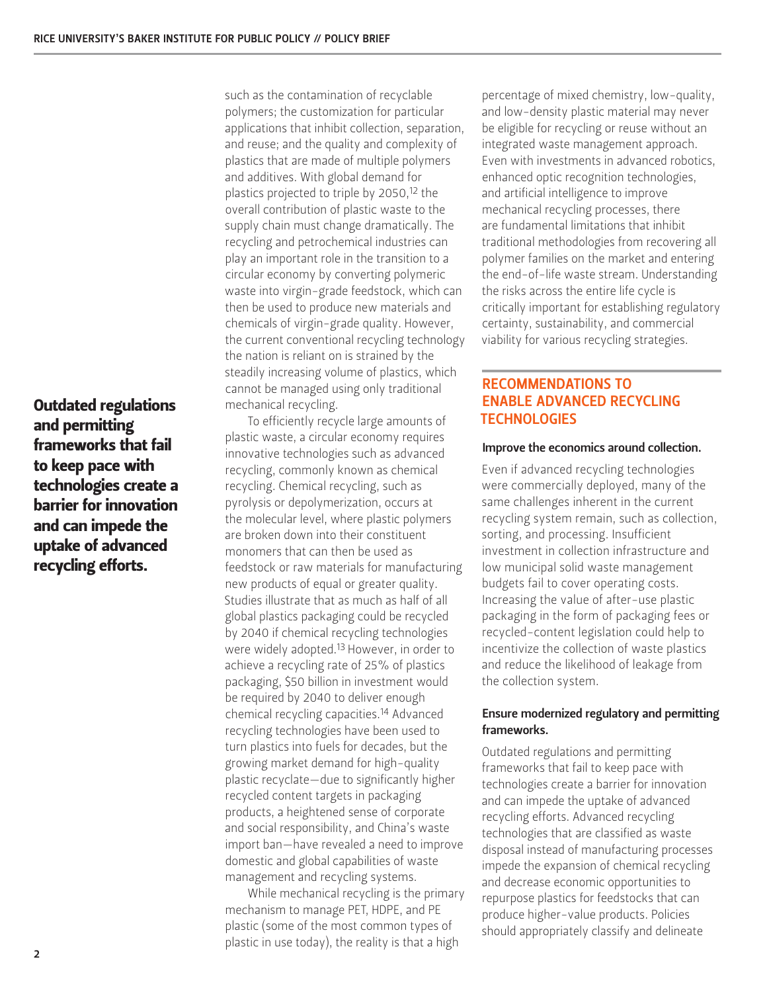Outdated regulations and permitting frameworks that fail to keep pace with technologies create a barrier for innovation and can impede the uptake of advanced recycling efforts.

such as the contamination of recyclable polymers; the customization for particular applications that inhibit collection, separation, and reuse; and the quality and complexity of plastics that are made of multiple polymers and additives. With global demand for plastics projected to triple by 2050,<sup>12</sup> the overall contribution of plastic waste to the supply chain must change dramatically. The recycling and petrochemical industries can play an important role in the transition to a circular economy by converting polymeric waste into virgin-grade feedstock, which can then be used to produce new materials and chemicals of virgin-grade quality. However, the current conventional recycling technology the nation is reliant on is strained by the steadily increasing volume of plastics, which cannot be managed using only traditional mechanical recycling.

To efficiently recycle large amounts of plastic waste, a circular economy requires innovative technologies such as advanced recycling, commonly known as chemical recycling. Chemical recycling, such as pyrolysis or depolymerization, occurs at the molecular level, where plastic polymers are broken down into their constituent monomers that can then be used as feedstock or raw materials for manufacturing new products of equal or greater quality. Studies illustrate that as much as half of all global plastics packaging could be recycled by 2040 if chemical recycling technologies were widely adopted.13 However, in order to achieve a recycling rate of 25% of plastics packaging, \$50 billion in investment would be required by 2040 to deliver enough chemical recycling capacities.14 Advanced recycling technologies have been used to turn plastics into fuels for decades, but the growing market demand for high-quality plastic recyclate—due to significantly higher recycled content targets in packaging products, a heightened sense of corporate and social responsibility, and China's waste import ban—have revealed a need to improve domestic and global capabilities of waste management and recycling systems.

While mechanical recycling is the primary mechanism to manage PET, HDPE, and PE plastic (some of the most common types of plastic in use today), the reality is that a high

percentage of mixed chemistry, low-quality, and low-density plastic material may never be eligible for recycling or reuse without an integrated waste management approach. Even with investments in advanced robotics, enhanced optic recognition technologies, and artificial intelligence to improve mechanical recycling processes, there are fundamental limitations that inhibit traditional methodologies from recovering all polymer families on the market and entering the end-of-life waste stream. Understanding the risks across the entire life cycle is critically important for establishing regulatory certainty, sustainability, and commercial viability for various recycling strategies.

#### RECOMMENDATIONS TO ENABLE ADVANCED RECYCLING **TECHNOLOGIES**

#### Improve the economics around collection.

Even if advanced recycling technologies were commercially deployed, many of the same challenges inherent in the current recycling system remain, such as collection, sorting, and processing. Insufficient investment in collection infrastructure and low municipal solid waste management budgets fail to cover operating costs. Increasing the value of after-use plastic packaging in the form of packaging fees or recycled-content legislation could help to incentivize the collection of waste plastics and reduce the likelihood of leakage from the collection system.

#### Ensure modernized regulatory and permitting frameworks.

Outdated regulations and permitting frameworks that fail to keep pace with technologies create a barrier for innovation and can impede the uptake of advanced recycling efforts. Advanced recycling technologies that are classified as waste disposal instead of manufacturing processes impede the expansion of chemical recycling and decrease economic opportunities to repurpose plastics for feedstocks that can produce higher-value products. Policies should appropriately classify and delineate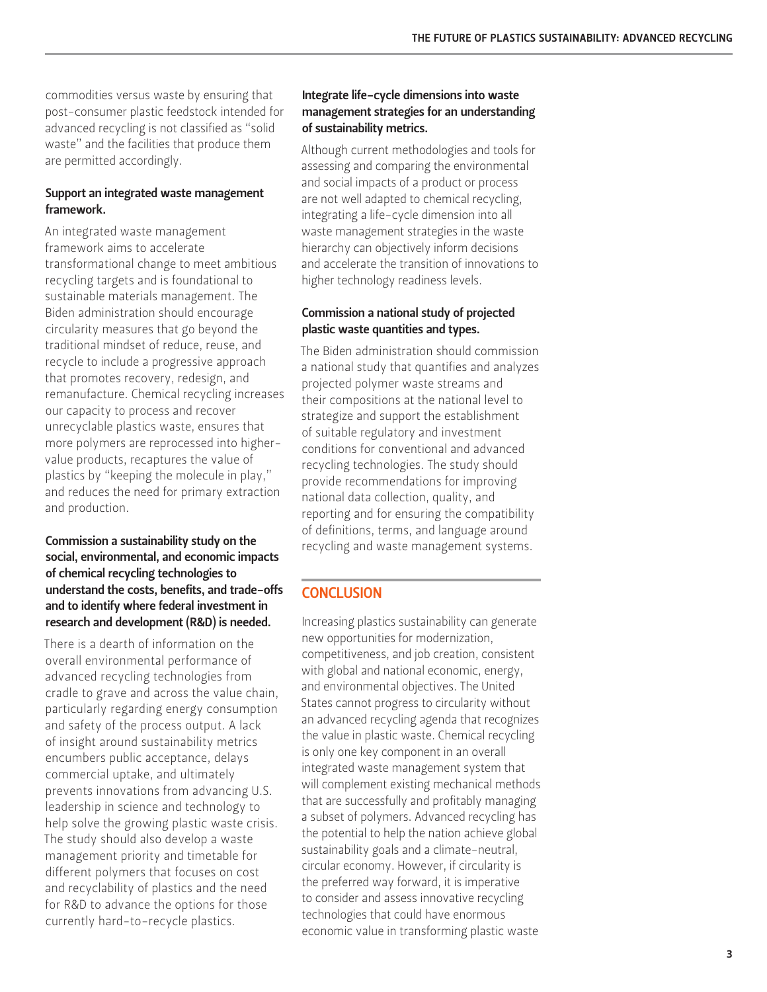commodities versus waste by ensuring that post-consumer plastic feedstock intended for advanced recycling is not classified as "solid waste" and the facilities that produce them are permitted accordingly.

#### Support an integrated waste management framework.

An integrated waste management framework aims to accelerate transformational change to meet ambitious recycling targets and is foundational to sustainable materials management. The Biden administration should encourage circularity measures that go beyond the traditional mindset of reduce, reuse, and recycle to include a progressive approach that promotes recovery, redesign, and remanufacture. Chemical recycling increases our capacity to process and recover unrecyclable plastics waste, ensures that more polymers are reprocessed into highervalue products, recaptures the value of plastics by "keeping the molecule in play," and reduces the need for primary extraction and production.

#### Commission a sustainability study on the social, environmental, and economic impacts of chemical recycling technologies to understand the costs, benefits, and trade-offs and to identify where federal investment in research and development (R&D) is needed.

There is a dearth of information on the overall environmental performance of advanced recycling technologies from cradle to grave and across the value chain, particularly regarding energy consumption and safety of the process output. A lack of insight around sustainability metrics encumbers public acceptance, delays commercial uptake, and ultimately prevents innovations from advancing U.S. leadership in science and technology to help solve the growing plastic waste crisis. The study should also develop a waste management priority and timetable for different polymers that focuses on cost and recyclability of plastics and the need for R&D to advance the options for those currently hard-to-recycle plastics.

#### Integrate life-cycle dimensions into waste management strategies for an understanding of sustainability metrics.

Although current methodologies and tools for assessing and comparing the environmental and social impacts of a product or process are not well adapted to chemical recycling, integrating a life-cycle dimension into all waste management strategies in the waste hierarchy can objectively inform decisions and accelerate the transition of innovations to higher technology readiness levels.

#### Commission a national study of projected plastic waste quantities and types.

The Biden administration should commission a national study that quantifies and analyzes projected polymer waste streams and their compositions at the national level to strategize and support the establishment of suitable regulatory and investment conditions for conventional and advanced recycling technologies. The study should provide recommendations for improving national data collection, quality, and reporting and for ensuring the compatibility of definitions, terms, and language around recycling and waste management systems.

#### **CONCLUSION**

Increasing plastics sustainability can generate new opportunities for modernization, competitiveness, and job creation, consistent with global and national economic, energy, and environmental objectives. The United States cannot progress to circularity without an advanced recycling agenda that recognizes the value in plastic waste. Chemical recycling is only one key component in an overall integrated waste management system that will complement existing mechanical methods that are successfully and profitably managing a subset of polymers. Advanced recycling has the potential to help the nation achieve global sustainability goals and a climate-neutral, circular economy. However, if circularity is the preferred way forward, it is imperative to consider and assess innovative recycling technologies that could have enormous economic value in transforming plastic waste